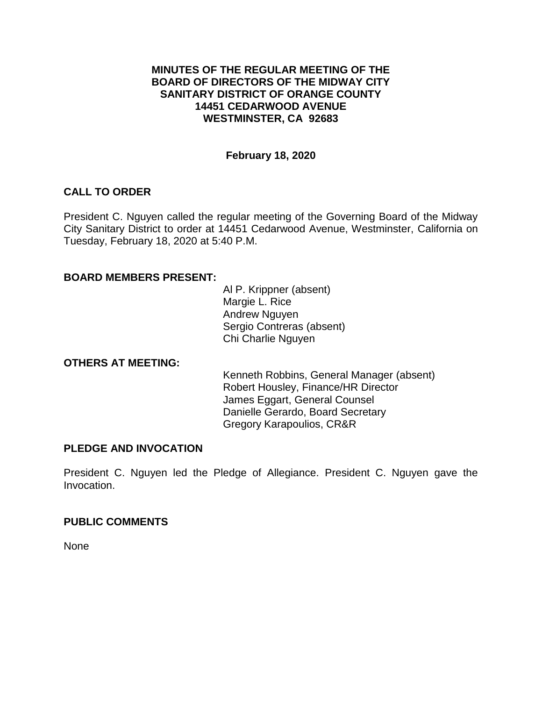### **MINUTES OF THE REGULAR MEETING OF THE BOARD OF DIRECTORS OF THE MIDWAY CITY SANITARY DISTRICT OF ORANGE COUNTY 14451 CEDARWOOD AVENUE WESTMINSTER, CA 92683**

## **February 18, 2020**

## **CALL TO ORDER**

President C. Nguyen called the regular meeting of the Governing Board of the Midway City Sanitary District to order at 14451 Cedarwood Avenue, Westminster, California on Tuesday, February 18, 2020 at 5:40 P.M.

## **BOARD MEMBERS PRESENT:**

Al P. Krippner (absent) Margie L. Rice Andrew Nguyen Sergio Contreras (absent) Chi Charlie Nguyen

## **OTHERS AT MEETING:**

Kenneth Robbins, General Manager (absent) Robert Housley, Finance/HR Director James Eggart, General Counsel Danielle Gerardo, Board Secretary Gregory Karapoulios, CR&R

### **PLEDGE AND INVOCATION**

President C. Nguyen led the Pledge of Allegiance. President C. Nguyen gave the Invocation.

## **PUBLIC COMMENTS**

None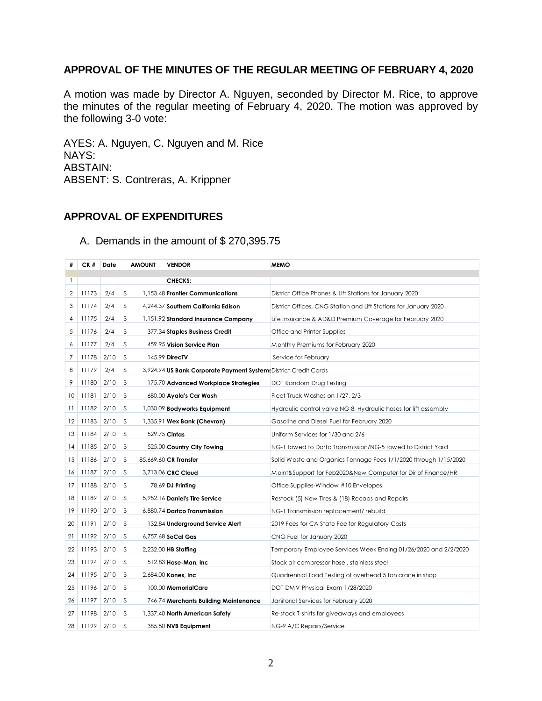# **APPROVAL OF THE MINUTES OF THE REGULAR MEETING OF FEBRUARY 4, 2020**

A motion was made by Director A. Nguyen, seconded by Director M. Rice, to approve the minutes of the regular meeting of February 4, 2020. The motion was approved by the following 3-0 vote:

AYES: A. Nguyen, C. Nguyen and M. Rice NAYS: ABSTAIN: ABSENT: S. Contreras, A. Krippner

## **APPROVAL OF EXPENDITURES**

## A. Demands in the amount of \$ 270,395.75

| #  | CK #  | Date | <b>AMOUNT</b> | <b>VENDOR</b>                                                    | <b>MEMO</b>                                                      |
|----|-------|------|---------------|------------------------------------------------------------------|------------------------------------------------------------------|
| -1 |       |      |               | <b>CHECKS:</b>                                                   |                                                                  |
| 2  | 11173 | 2/4  | \$            | 1,153.48 Frontier Communications                                 | District Office Phones & Lift Stations for January 2020          |
| 3  | 11174 | 2/4  | \$            | 4,244.37 Southern California Edison                              | District Offices, CNG Station and Lift Stations for January 2020 |
| 4  | 11175 | 2/4  | \$            | 1,151.92 Standard Insurance Company                              | Life Insurance & AD&D Premium Coverage for February 2020         |
| 5  | 11176 | 2/4  | \$            | 377.34 Staples Business Credit                                   | Office and Printer Supplies                                      |
| 6  | 11177 | 2/4  | \$            | 459.95 Vision Service Plan                                       | Monthly Premiums for February 2020                               |
| 7  | 11178 | 2/10 | \$            | 145.99 <b>DirecTV</b>                                            | Service for February                                             |
| 8  | 11179 | 2/4  | \$            | 3,924.94 US Bank Corporate Payment System: District Credit Cards |                                                                  |
| 9  | 11180 | 2/10 | \$            |                                                                  |                                                                  |
|    |       |      |               | 175.70 Advanced Workplace Strategies                             | DOT Random Drug Testing                                          |
| 10 | 11181 | 2/10 | \$            | 680.00 Ayala's Car Wash                                          | Fleet Truck Washes on 1/27, 2/3                                  |
| 11 | 11182 | 2/10 | \$            | 1,030.09 Bodyworks Equipment                                     | Hydraulic control valve NG-8, Hydraulic hoses for lift assembly  |
| 12 | 11183 | 2/10 | \$            | 1,335.91 Wex Bank (Chevron)                                      | Gasoline and Diesel Fuel for February 2020                       |
| 13 | 11184 | 2/10 | \$            | 529.75 Cintas                                                    | Uniform Services for 1/30 and 2/6                                |
| 14 | 11185 | 2/10 | \$            | 525.00 Country City Towing                                       | NG-1 towed to Darto Transmission/NG-5 towed to District Yard     |
| 15 | 11186 | 2/10 | \$            | 85,669.60 CR Transfer                                            | Solid Waste and Organics Tonnage Fees 1/1/2020 through 1/15/2020 |
| 16 | 11187 | 2/10 | \$            | 3,713.06 CRC Cloud                                               | Maint&Support for Feb2020&New Computer for Dir of Finance/HR     |
| 17 | 11188 | 2/10 | \$            | 78.69 <b>DJ Printing</b>                                         | Office Supplies-Window #10 Envelopes                             |
| 18 | 11189 | 2/10 | \$            | 5,952.16 Daniel's Tire Service                                   | Restock (5) New Tires & (18) Recaps and Repairs                  |
| 19 | 11190 | 2/10 | \$            | 6,880.74 Dartco Transmission                                     | NG-1 Transmission replacement/rebuild                            |
| 20 | 11191 | 2/10 | \$            | 132.84 Underground Service Alert                                 | 2019 Fees for CA State Fee for Regulatory Costs                  |
| 21 | 11192 | 2/10 | \$            | 6,757.68 SoCal Gas                                               | CNG Fuel for January 2020                                        |
| 22 | 11193 | 2/10 | \$            | 2,232.00 HB Staffing                                             | Temporary Employee Services Week Ending 01/26/2020 and 2/2/2020  |
| 23 | 11194 | 2/10 | \$            | 512.83 Hose-Man, Inc.                                            | Stock air compressor hose, stainless steel                       |
| 24 | 11195 | 2/10 | \$            | 2,684.00 Kones, Inc.                                             | Quadrennial Load Testing of overhead 5 ton crane in shop         |
| 25 | 11196 | 2/10 | \$            | 100.00 MemorialCare                                              | DOT DMV Physical Exam 1/28/2020                                  |
| 26 | 11197 | 2/10 | \$            | 746.74 Merchants Building Maintenance                            | Janitorial Services for February 2020                            |
| 27 | 11198 | 2/10 | \$            | 1,337.40 North American Safety                                   | Re-stock T-shirts for giveaways and employees                    |
| 28 | 11199 | 2/10 | \$            | 385.50 NVB Equipment                                             | NG-9 A/C Repairs/Service                                         |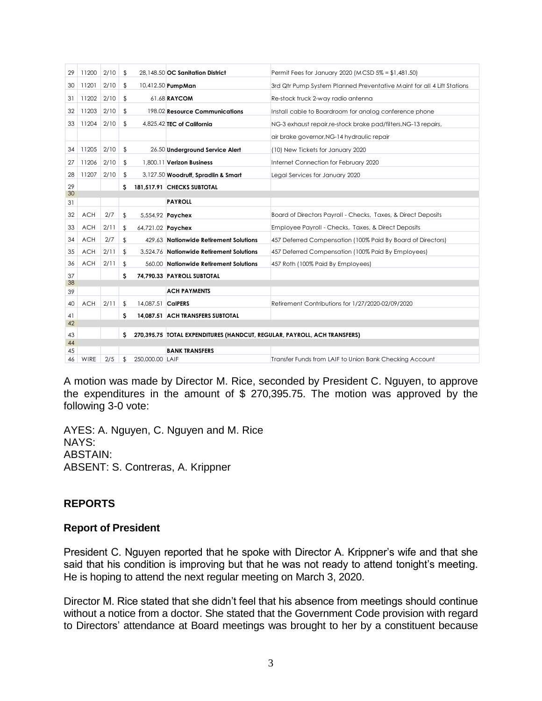| 29 | 11200      | 2/10 | \$         |                   | 28,148.50 OC Sanitation District                                         | Permit Fees for January 2020 (MCSD 5% = \$1,481.50)                    |  |  |
|----|------------|------|------------|-------------------|--------------------------------------------------------------------------|------------------------------------------------------------------------|--|--|
| 30 | 11201      | 2/10 | \$         |                   | 10,412.50 PumpMan                                                        | 3rd Qtr Pump System Planned Preventative Maint for all 4 Lift Stations |  |  |
| 31 | 11202      | 2/10 | \$         |                   | 61.68 RAYCOM                                                             | Re-stock truck 2-way radio antenna                                     |  |  |
| 32 | 11203      | 2/10 | \$         |                   | 198.02 Resource Communications                                           | Install cable to Boardroom for analog conference phone                 |  |  |
| 33 | 11204      | 2/10 | \$         |                   | 4,825.42 TEC of California                                               | NG-3 exhaust repair, re-stock brake pad/filters, NG-13 repairs,        |  |  |
|    |            |      |            |                   |                                                                          | air brake governor, NG-14 hydraulic repair                             |  |  |
| 34 | 11205      | 2/10 | \$         |                   | 26.50 Underground Service Alert                                          | (10) New Tickets for January 2020                                      |  |  |
| 27 | 11206      | 2/10 | \$         |                   | 1,800.11 Verizon Business                                                | Internet Connection for February 2020                                  |  |  |
| 28 | 11207      | 2/10 | \$         |                   | 3,127.50 Woodruff, Spradlin & Smart                                      | Legal Services for January 2020                                        |  |  |
| 29 |            |      | s          |                   | 181,517.91 CHECKS SUBTOTAL                                               |                                                                        |  |  |
| 30 |            |      |            |                   | <b>PAYROLL</b>                                                           |                                                                        |  |  |
| 31 |            |      |            |                   |                                                                          |                                                                        |  |  |
| 32 | <b>ACH</b> | 2/7  | \$         |                   | 5,554.92 <b>Paychex</b>                                                  | Board of Directors Payroll - Checks, Taxes, & Direct Deposits          |  |  |
| 33 | <b>ACH</b> | 2/11 | \$         | 64,721.02 Paychex |                                                                          | Employee Payroll - Checks, Taxes, & Direct Deposits                    |  |  |
| 34 | <b>ACH</b> | 2/7  | \$         |                   | 429.63 Nationwide Retirement Solutions                                   | 457 Deferred Compensation (100% Paid By Board of Directors)            |  |  |
| 35 | <b>ACH</b> | 2/11 | \$         |                   | 3,524.76 Nationwide Retirement Solutions                                 | 457 Deferred Compensation (100% Paid By Employees)                     |  |  |
| 36 | <b>ACH</b> | 2/11 | \$         |                   | 560.00 Nationwide Retirement Solutions                                   | 457 Roth (100% Paid By Employees)                                      |  |  |
| 37 |            |      | s          |                   | 74.790.33 PAYROLL SUBTOTAL                                               |                                                                        |  |  |
| 38 |            |      |            |                   |                                                                          |                                                                        |  |  |
| 39 |            |      |            |                   | <b>ACH PAYMENTS</b>                                                      |                                                                        |  |  |
| 40 | <b>ACH</b> | 2/11 | $\sqrt{2}$ | 14,087.51 CalPERS |                                                                          | Retirement Contributions for 1/27/2020-02/09/2020                      |  |  |
| 41 |            |      | s          |                   | 14,087.51 ACH TRANSFERS SUBTOTAL                                         |                                                                        |  |  |
| 42 |            |      |            |                   |                                                                          |                                                                        |  |  |
| 43 |            |      | s          |                   | 270,395.75 TOTAL EXPENDITURES (HANDCUT, REGULAR, PAYROLL, ACH TRANSFERS) |                                                                        |  |  |
| 44 |            |      |            |                   |                                                                          |                                                                        |  |  |
| 45 |            |      |            |                   | <b>BANK TRANSFERS</b>                                                    |                                                                        |  |  |
| 46 | WIRE       | 2/5  | \$         | 250,000,00 LAIF   |                                                                          | Transfer Funds from LAIF to Union Bank Checking Account                |  |  |

A motion was made by Director M. Rice, seconded by President C. Nguyen, to approve the expenditures in the amount of \$ 270,395.75. The motion was approved by the following 3-0 vote:

AYES: A. Nguyen, C. Nguyen and M. Rice NAYS: ABSTAIN: ABSENT: S. Contreras, A. Krippner

## **REPORTS**

## **Report of President**

President C. Nguyen reported that he spoke with Director A. Krippner's wife and that she said that his condition is improving but that he was not ready to attend tonight's meeting. He is hoping to attend the next regular meeting on March 3, 2020.

Director M. Rice stated that she didn't feel that his absence from meetings should continue without a notice from a doctor. She stated that the Government Code provision with regard to Directors' attendance at Board meetings was brought to her by a constituent because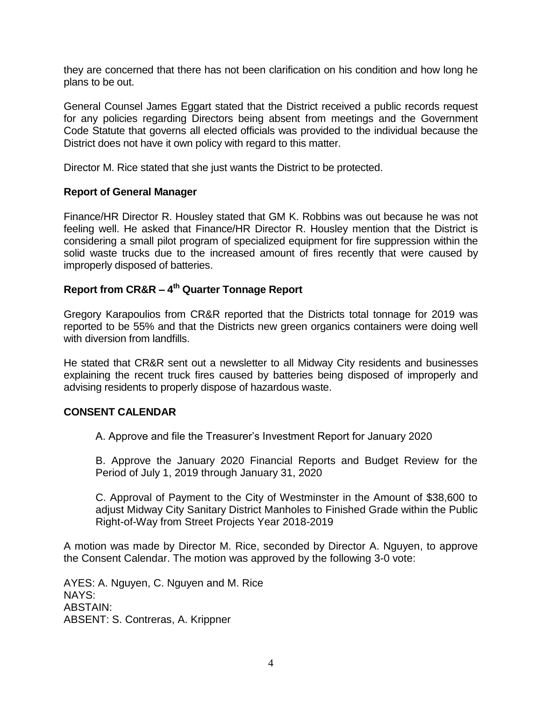they are concerned that there has not been clarification on his condition and how long he plans to be out.

General Counsel James Eggart stated that the District received a public records request for any policies regarding Directors being absent from meetings and the Government Code Statute that governs all elected officials was provided to the individual because the District does not have it own policy with regard to this matter.

Director M. Rice stated that she just wants the District to be protected.

#### **Report of General Manager**

Finance/HR Director R. Housley stated that GM K. Robbins was out because he was not feeling well. He asked that Finance/HR Director R. Housley mention that the District is considering a small pilot program of specialized equipment for fire suppression within the solid waste trucks due to the increased amount of fires recently that were caused by improperly disposed of batteries.

## **Report from CR&R – 4 th Quarter Tonnage Report**

Gregory Karapoulios from CR&R reported that the Districts total tonnage for 2019 was reported to be 55% and that the Districts new green organics containers were doing well with diversion from landfills.

He stated that CR&R sent out a newsletter to all Midway City residents and businesses explaining the recent truck fires caused by batteries being disposed of improperly and advising residents to properly dispose of hazardous waste.

#### **CONSENT CALENDAR**

A. Approve and file the Treasurer's Investment Report for January 2020

B. Approve the January 2020 Financial Reports and Budget Review for the Period of July 1, 2019 through January 31, 2020

C. Approval of Payment to the City of Westminster in the Amount of \$38,600 to adjust Midway City Sanitary District Manholes to Finished Grade within the Public Right-of-Way from Street Projects Year 2018-2019

A motion was made by Director M. Rice, seconded by Director A. Nguyen, to approve the Consent Calendar. The motion was approved by the following 3-0 vote:

AYES: A. Nguyen, C. Nguyen and M. Rice NAYS: ABSTAIN: ABSENT: S. Contreras, A. Krippner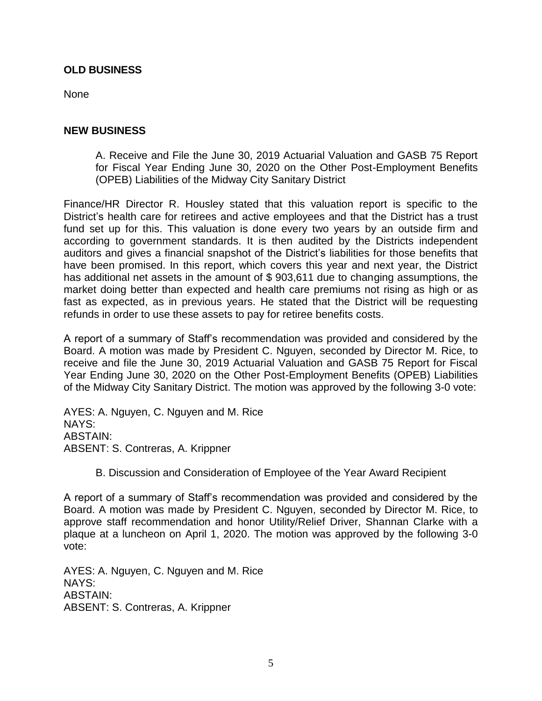### **OLD BUSINESS**

None

#### **NEW BUSINESS**

A. Receive and File the June 30, 2019 Actuarial Valuation and GASB 75 Report for Fiscal Year Ending June 30, 2020 on the Other Post-Employment Benefits (OPEB) Liabilities of the Midway City Sanitary District

Finance/HR Director R. Housley stated that this valuation report is specific to the District's health care for retirees and active employees and that the District has a trust fund set up for this. This valuation is done every two years by an outside firm and according to government standards. It is then audited by the Districts independent auditors and gives a financial snapshot of the District's liabilities for those benefits that have been promised. In this report, which covers this year and next year, the District has additional net assets in the amount of \$903,611 due to changing assumptions, the market doing better than expected and health care premiums not rising as high or as fast as expected, as in previous years. He stated that the District will be requesting refunds in order to use these assets to pay for retiree benefits costs.

A report of a summary of Staff's recommendation was provided and considered by the Board. A motion was made by President C. Nguyen, seconded by Director M. Rice, to receive and file the June 30, 2019 Actuarial Valuation and GASB 75 Report for Fiscal Year Ending June 30, 2020 on the Other Post-Employment Benefits (OPEB) Liabilities of the Midway City Sanitary District. The motion was approved by the following 3-0 vote:

AYES: A. Nguyen, C. Nguyen and M. Rice NAYS: ABSTAIN: ABSENT: S. Contreras, A. Krippner

B. Discussion and Consideration of Employee of the Year Award Recipient

A report of a summary of Staff's recommendation was provided and considered by the Board. A motion was made by President C. Nguyen, seconded by Director M. Rice, to approve staff recommendation and honor Utility/Relief Driver, Shannan Clarke with a plaque at a luncheon on April 1, 2020. The motion was approved by the following 3-0 vote:

AYES: A. Nguyen, C. Nguyen and M. Rice NAYS: ABSTAIN: ABSENT: S. Contreras, A. Krippner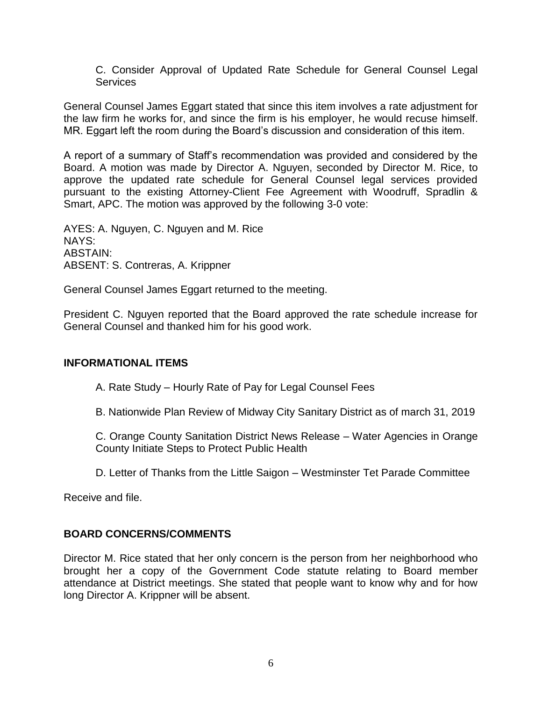C. Consider Approval of Updated Rate Schedule for General Counsel Legal **Services** 

General Counsel James Eggart stated that since this item involves a rate adjustment for the law firm he works for, and since the firm is his employer, he would recuse himself. MR. Eggart left the room during the Board's discussion and consideration of this item.

A report of a summary of Staff's recommendation was provided and considered by the Board. A motion was made by Director A. Nguyen, seconded by Director M. Rice, to approve the updated rate schedule for General Counsel legal services provided pursuant to the existing Attorney-Client Fee Agreement with Woodruff, Spradlin & Smart, APC. The motion was approved by the following 3-0 vote:

AYES: A. Nguyen, C. Nguyen and M. Rice NAYS: ABSTAIN: ABSENT: S. Contreras, A. Krippner

General Counsel James Eggart returned to the meeting.

President C. Nguyen reported that the Board approved the rate schedule increase for General Counsel and thanked him for his good work.

## **INFORMATIONAL ITEMS**

A. Rate Study – Hourly Rate of Pay for Legal Counsel Fees

B. Nationwide Plan Review of Midway City Sanitary District as of march 31, 2019

C. Orange County Sanitation District News Release – Water Agencies in Orange County Initiate Steps to Protect Public Health

D. Letter of Thanks from the Little Saigon – Westminster Tet Parade Committee

Receive and file.

## **BOARD CONCERNS/COMMENTS**

Director M. Rice stated that her only concern is the person from her neighborhood who brought her a copy of the Government Code statute relating to Board member attendance at District meetings. She stated that people want to know why and for how long Director A. Krippner will be absent.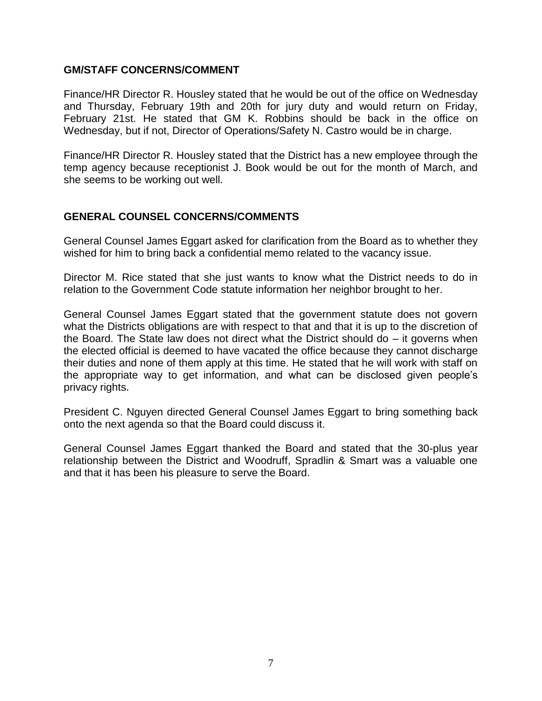### **GM/STAFF CONCERNS/COMMENT**

Finance/HR Director R. Housley stated that he would be out of the office on Wednesday and Thursday, February 19th and 20th for jury duty and would return on Friday, February 21st. He stated that GM K. Robbins should be back in the office on Wednesday, but if not, Director of Operations/Safety N. Castro would be in charge.

Finance/HR Director R. Housley stated that the District has a new employee through the temp agency because receptionist J. Book would be out for the month of March, and she seems to be working out well.

## **GENERAL COUNSEL CONCERNS/COMMENTS**

General Counsel James Eggart asked for clarification from the Board as to whether they wished for him to bring back a confidential memo related to the vacancy issue.

Director M. Rice stated that she just wants to know what the District needs to do in relation to the Government Code statute information her neighbor brought to her.

General Counsel James Eggart stated that the government statute does not govern what the Districts obligations are with respect to that and that it is up to the discretion of the Board. The State law does not direct what the District should do – it governs when the elected official is deemed to have vacated the office because they cannot discharge their duties and none of them apply at this time. He stated that he will work with staff on the appropriate way to get information, and what can be disclosed given people's privacy rights.

President C. Nguyen directed General Counsel James Eggart to bring something back onto the next agenda so that the Board could discuss it.

General Counsel James Eggart thanked the Board and stated that the 30-plus year relationship between the District and Woodruff, Spradlin & Smart was a valuable one and that it has been his pleasure to serve the Board.